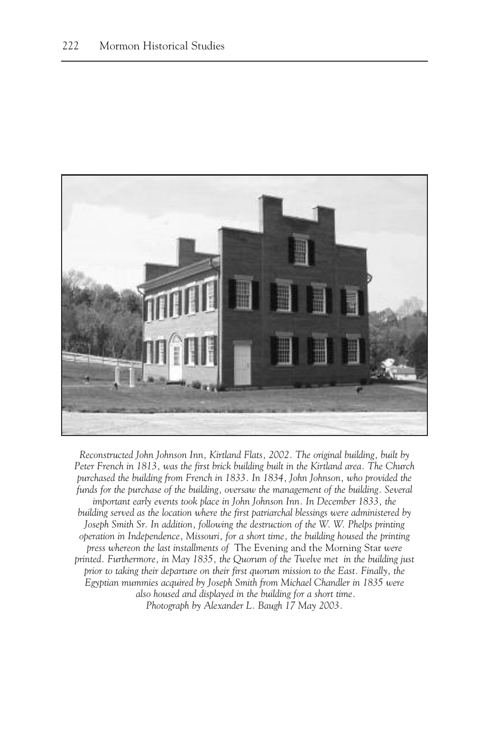

*Reconstructed John Johnson Inn, Kirtland Flats, 2002. The original building, built by Peter French in 1813, was the first brick building built in the Kirtland area. The Church purchased the building from French in 1833. In 1834, John Johnson, who provided the*  funds for the purchase of the building, oversaw the management of the building. Several *important early events took place in John Johnson Inn. In December 1833, the building served as the location where the first patriarchal blessings were administered by Joseph Smith Sr. In addition, following the destruction of the W. W. Phelps printing operation in Independence, Missouri, for a short time, the building housed the printing press whereon the last installments of* The Evening and the Morning Star *were printed. Furthermore, in May 1835, the Quorum of the Twelve met in the building just prior to taking their departure on their first quorum mission to the East. Finally, the Egyptian mummies acquired by Joseph Smith from Michael Chandler in 1835 were also housed and displayed in the building for a short time. Photograph by Alexander L. Baugh 17 May 2003.*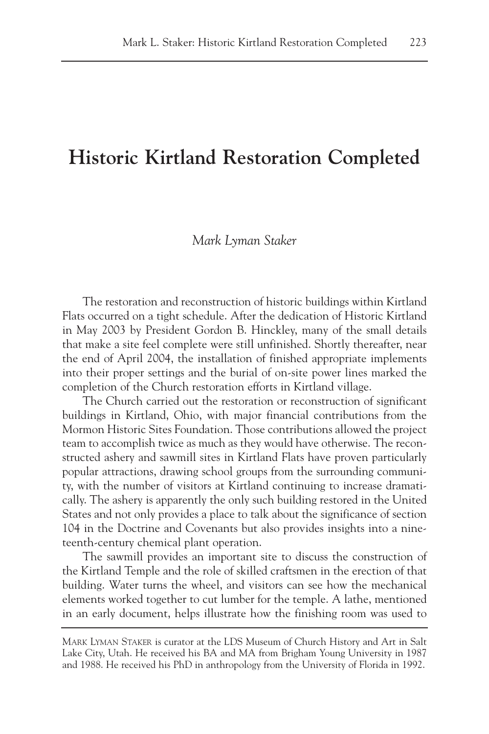## **Historic Kirtland Restoration Completed**

## *Mark Lyman Staker*

The restoration and reconstruction of historic buildings within Kirtland Flats occurred on a tight schedule. After the dedication of Historic Kirtland in May 2003 by President Gordon B. Hinckley, many of the small details that make a site feel complete were still unfinished. Shortly thereafter, near the end of April 2004, the installation of finished appropriate implements into their proper settings and the burial of on-site power lines marked the completion of the Church restoration efforts in Kirtland village.

The Church carried out the restoration or reconstruction of significant buildings in Kirtland, Ohio, with major financial contributions from the Mormon Historic Sites Foundation. Those contributions allowed the project team to accomplish twice as much as they would have otherwise. The reconstructed ashery and sawmill sites in Kirtland Flats have proven particularly popular attractions, drawing school groups from the surrounding community, with the number of visitors at Kirtland continuing to increase dramatically. The ashery is apparently the only such building restored in the United States and not only provides a place to talk about the significance of section 104 in the Doctrine and Covenants but also provides insights into a nineteenth-century chemical plant operation.

The sawmill provides an important site to discuss the construction of the Kirtland Temple and the role of skilled craftsmen in the erection of that building. Water turns the wheel, and visitors can see how the mechanical elements worked together to cut lumber for the temple. A lathe, mentioned in an early document, helps illustrate how the finishing room was used to

MARK LYMAN STAKER is curator at the LDS Museum of Church History and Art in Salt Lake City, Utah. He received his BA and MA from Brigham Young University in 1987 and 1988. He received his PhD in anthropology from the University of Florida in 1992.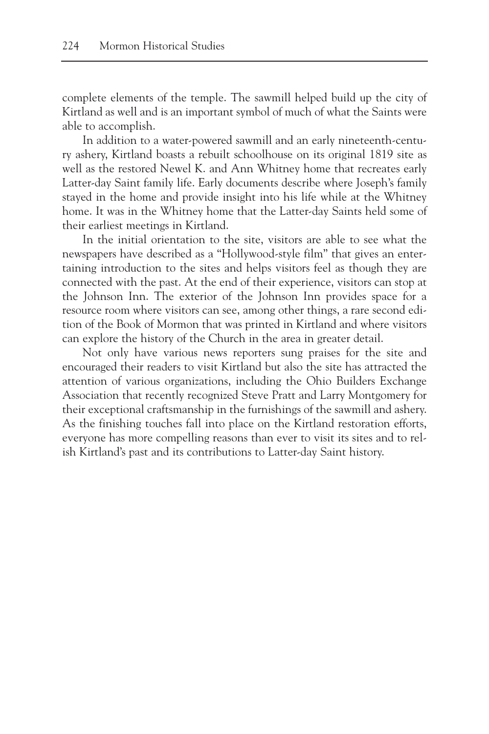complete elements of the temple. The sawmill helped build up the city of Kirtland as well and is an important symbol of much of what the Saints were able to accomplish.

In addition to a water-powered sawmill and an early nineteenth-century ashery, Kirtland boasts a rebuilt schoolhouse on its original 1819 site as well as the restored Newel K. and Ann Whitney home that recreates early Latter-day Saint family life. Early documents describe where Joseph's family stayed in the home and provide insight into his life while at the Whitney home. It was in the Whitney home that the Latter-day Saints held some of their earliest meetings in Kirtland.

In the initial orientation to the site, visitors are able to see what the newspapers have described as a "Hollywood-style film" that gives an entertaining introduction to the sites and helps visitors feel as though they are connected with the past. At the end of their experience, visitors can stop at the Johnson Inn. The exterior of the Johnson Inn provides space for a resource room where visitors can see, among other things, a rare second edition of the Book of Mormon that was printed in Kirtland and where visitors can explore the history of the Church in the area in greater detail.

Not only have various news reporters sung praises for the site and encouraged their readers to visit Kirtland but also the site has attracted the attention of various organizations, including the Ohio Builders Exchange Association that recently recognized Steve Pratt and Larry Montgomery for their exceptional craftsmanship in the furnishings of the sawmill and ashery. As the finishing touches fall into place on the Kirtland restoration efforts, everyone has more compelling reasons than ever to visit its sites and to relish Kirtland's past and its contributions to Latter-day Saint history.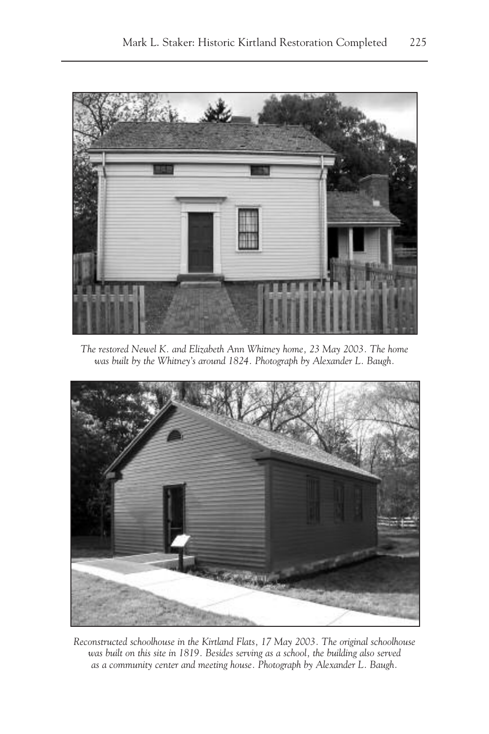

*The restored Newel K. and Elizabeth Ann Whitney home, 23 May 2003. The home was built by the Whitney's around 1824. Photograph by Alexander L. Baugh.*



*Reconstructed schoolhouse in the Kirtland Flats, 17 May 2003. The original schoolhouse was built on this site in 1819. Besides serving as a school, the building also served as a community center and meeting house. Photograph by Alexander L. Baugh.*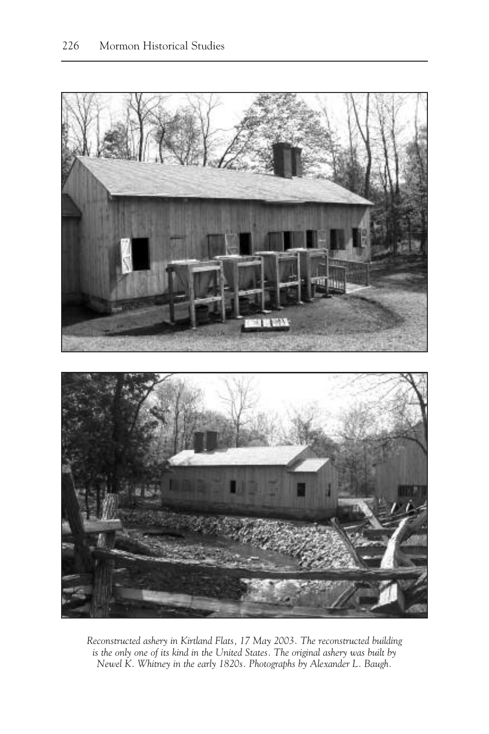

*Reconstructed ashery in Kirtland Flats, 17 May 2003. The reconstructed building is the only one of its kind in the United States. The original ashery was built by Newel K. Whitney in the early 1820s. Photographs by Alexander L. Baugh.*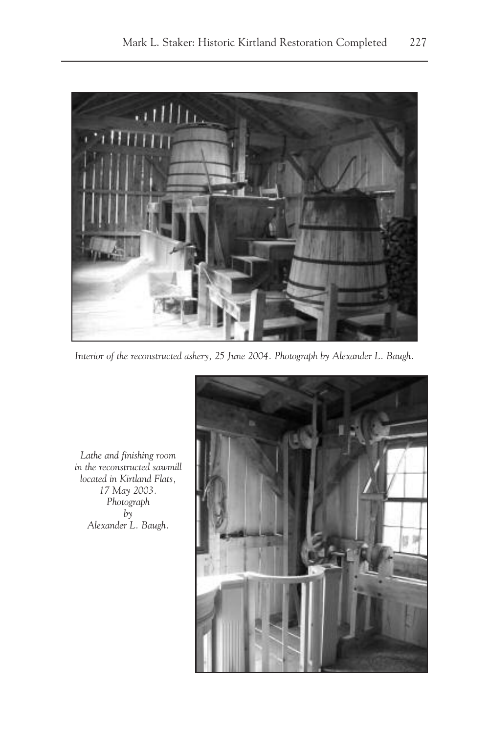

*Interior of the reconstructed ashery, 25 June 2004. Photograph by Alexander L. Baugh.*

*Lathe and finishing room in the reconstructed sawmill located in Kirtland Flats, 17 May 2003. Photograph*   $b\bar{v}$ *Alexander L. Baugh.*